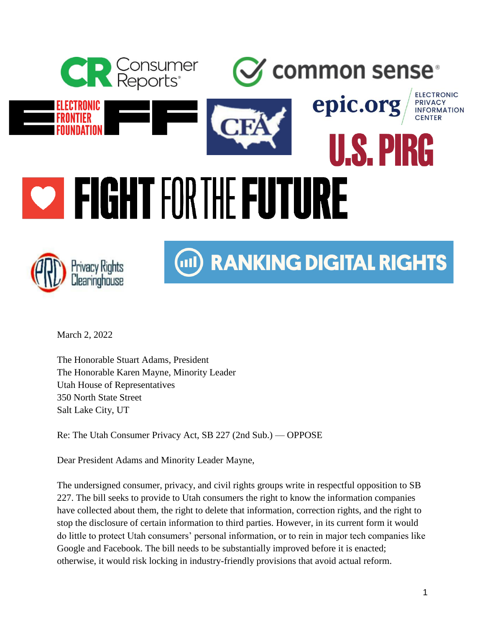



## (iii) RANKING DIGITAL RIGHTS

March 2, 2022

The Honorable Stuart Adams, President The Honorable Karen Mayne, Minority Leader Utah House of Representatives 350 North State Street Salt Lake City, UT

Re: The Utah Consumer Privacy Act, SB 227 (2nd Sub.) — OPPOSE

Dear President Adams and Minority Leader Mayne,

The undersigned consumer, privacy, and civil rights groups write in respectful opposition to SB 227. The bill seeks to provide to Utah consumers the right to know the information companies have collected about them, the right to delete that information, correction rights, and the right to stop the disclosure of certain information to third parties. However, in its current form it would do little to protect Utah consumers' personal information, or to rein in major tech companies like Google and Facebook. The bill needs to be substantially improved before it is enacted; otherwise, it would risk locking in industry-friendly provisions that avoid actual reform.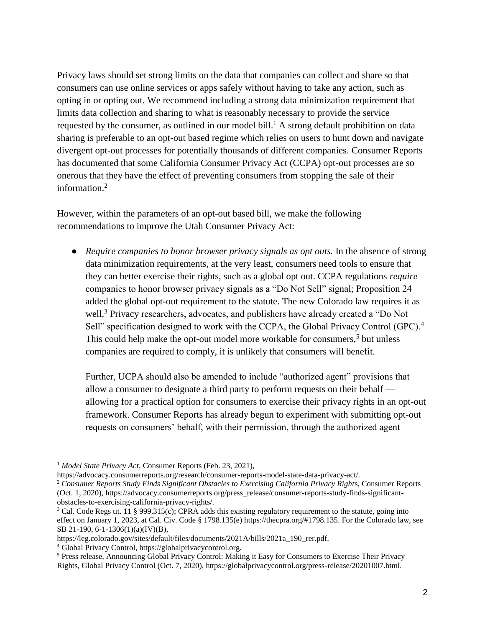Privacy laws should set strong limits on the data that companies can collect and share so that consumers can use online services or apps safely without having to take any action, such as opting in or opting out. We recommend including a strong data minimization requirement that limits data collection and sharing to what is reasonably necessary to provide the service requested by the consumer, as outlined in our model bill.<sup>1</sup> A strong default prohibition on data sharing is preferable to an opt-out based regime which relies on users to hunt down and navigate divergent opt-out processes for potentially thousands of different companies. Consumer Reports has documented that some California Consumer Privacy Act (CCPA) opt-out processes are so onerous that they have the effect of preventing consumers from stopping the sale of their information.<sup>2</sup>

However, within the parameters of an opt-out based bill, we make the following recommendations to improve the Utah Consumer Privacy Act:

● *Require companies to honor browser privacy signals as opt outs.* In the absence of strong data minimization requirements, at the very least, consumers need tools to ensure that they can better exercise their rights, such as a global opt out. CCPA regulations *require* companies to honor browser privacy signals as a "Do Not Sell" signal; Proposition 24 added the global opt-out requirement to the statute. The new Colorado law requires it as well.<sup>3</sup> Privacy researchers, advocates, and publishers have already created a "Do Not Sell" specification designed to work with the CCPA, the Global Privacy Control (GPC).<sup>4</sup> This could help make the opt-out model more workable for consumers,<sup>5</sup> but unless companies are required to comply, it is unlikely that consumers will benefit.

Further, UCPA should also be amended to include "authorized agent" provisions that allow a consumer to designate a third party to perform requests on their behalf allowing for a practical option for consumers to exercise their privacy rights in an opt-out framework. Consumer Reports has already begun to experiment with submitting opt-out requests on consumers' behalf, with their permission, through the authorized agent

<sup>2</sup> *Consumer Reports Study Finds Significant Obstacles to Exercising California Privacy Right*s, Consumer Reports (Oct. 1, 2020), https://advocacy.consumerreports.org/press\_release/consumer-reports-study-finds-significantobstacles-to-exercising-california-privacy-rights/.

<sup>1</sup> *Model State Privacy Act*, Consumer Reports (Feb. 23, 2021),

https://advocacy.consumerreports.org/research/consumer-reports-model-state-data-privacy-act/.

<sup>&</sup>lt;sup>3</sup> Cal. Code Regs tit. 11 § 999.315(c); CPRA adds this existing regulatory requirement to the statute, going into effect on January 1, 2023, at Cal. Civ. Code § 1798.135(e) https://thecpra.org/#1798.135. For the Colorado law, see SB 21-190, 6-1-1306(1)(a)(IV)(B),

https://leg.colorado.gov/sites/default/files/documents/2021A/bills/2021a\_190\_rer.pdf.

<sup>4</sup> Global Privacy Control, https://globalprivacycontrol.org.

<sup>5</sup> Press release, Announcing Global Privacy Control: Making it Easy for Consumers to Exercise Their Privacy Rights, Global Privacy Control (Oct. 7, 2020), https://globalprivacycontrol.org/press-release/20201007.html.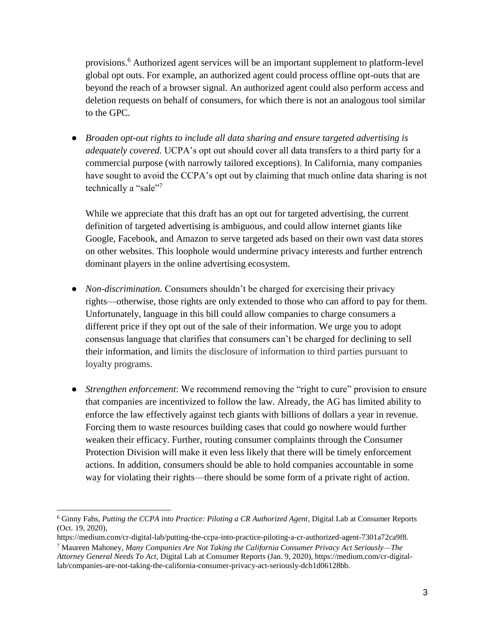provisions.<sup>6</sup> Authorized agent services will be an important supplement to platform-level global opt outs. For example, an authorized agent could process offline opt-outs that are beyond the reach of a browser signal. An authorized agent could also perform access and deletion requests on behalf of consumers, for which there is not an analogous tool similar to the GPC.

● *Broaden opt-out rights to include all data sharing and ensure targeted advertising is adequately covered.* UCPA's opt out should cover all data transfers to a third party for a commercial purpose (with narrowly tailored exceptions). In California, many companies have sought to avoid the CCPA's opt out by claiming that much online data sharing is not technically a "sale"<sup>7</sup>

While we appreciate that this draft has an opt out for targeted advertising, the current definition of targeted advertising is ambiguous, and could allow internet giants like Google, Facebook, and Amazon to serve targeted ads based on their own vast data stores on other websites. This loophole would undermine privacy interests and further entrench dominant players in the online advertising ecosystem.

- *Non-discrimination.* Consumers shouldn't be charged for exercising their privacy rights—otherwise, those rights are only extended to those who can afford to pay for them. Unfortunately, language in this bill could allow companies to charge consumers a different price if they opt out of the sale of their information. We urge you to adopt consensus language that clarifies that consumers can't be charged for declining to sell their information, and limits the disclosure of information to third parties pursuant to loyalty programs.
- *Strengthen enforcement*: We recommend removing the "right to cure" provision to ensure that companies are incentivized to follow the law. Already, the AG has limited ability to enforce the law effectively against tech giants with billions of dollars a year in revenue. Forcing them to waste resources building cases that could go nowhere would further weaken their efficacy. Further, routing consumer complaints through the Consumer Protection Division will make it even less likely that there will be timely enforcement actions. In addition, consumers should be able to hold companies accountable in some way for violating their rights—there should be some form of a private right of action.

<sup>6</sup> Ginny Fahs, *Putting the CCPA into Practice: Piloting a CR Authorized Agent*, Digital Lab at Consumer Reports (Oct. 19, 2020),

https://medium.com/cr-digital-lab/putting-the-ccpa-into-practice-piloting-a-cr-authorized-agent-7301a72ca9f8.

<sup>7</sup> Maureen Mahoney, *Many Companies Are Not Taking the California Consumer Privacy Act Seriously—The Attorney General Needs To Act*, Digital Lab at Consumer Reports (Jan. 9, 2020), https://medium.com/cr-digitallab/companies-are-not-taking-the-california-consumer-privacy-act-seriously-dcb1d06128bb.